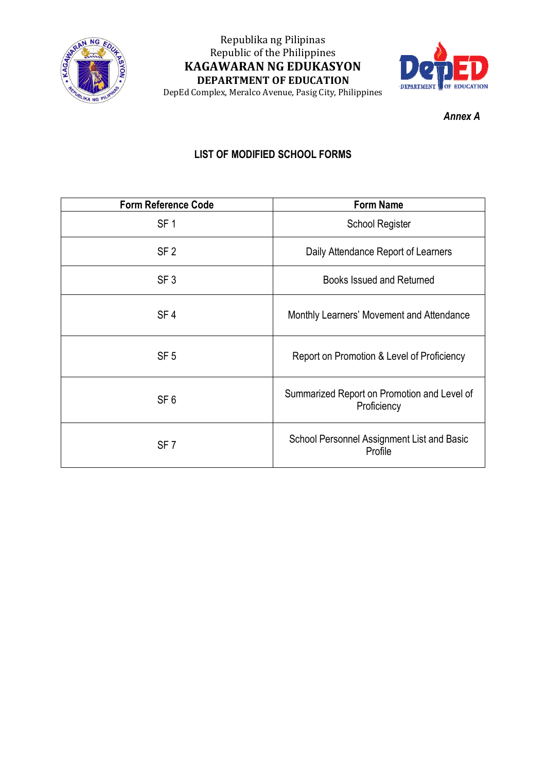

# Republika ng Pilipinas Republic of the Philippines **KAGAWARAN NG EDUKASYON DEPARTMENT OF EDUCATION**



DepEd Complex, Meralco Avenue, Pasig City, Philippines

*Annex A*

## **LIST OF MODIFIED SCHOOL FORMS**

| <b>Form Reference Code</b> | <b>Form Name</b>                                           |
|----------------------------|------------------------------------------------------------|
| SF <sub>1</sub>            | <b>School Register</b>                                     |
| SF <sub>2</sub>            | Daily Attendance Report of Learners                        |
| SF <sub>3</sub>            | <b>Books Issued and Returned</b>                           |
| SF <sub>4</sub>            | Monthly Learners' Movement and Attendance                  |
| SF <sub>5</sub>            | Report on Promotion & Level of Proficiency                 |
| SF <sub>6</sub>            | Summarized Report on Promotion and Level of<br>Proficiency |
| SF <sub>7</sub>            | School Personnel Assignment List and Basic<br>Profile      |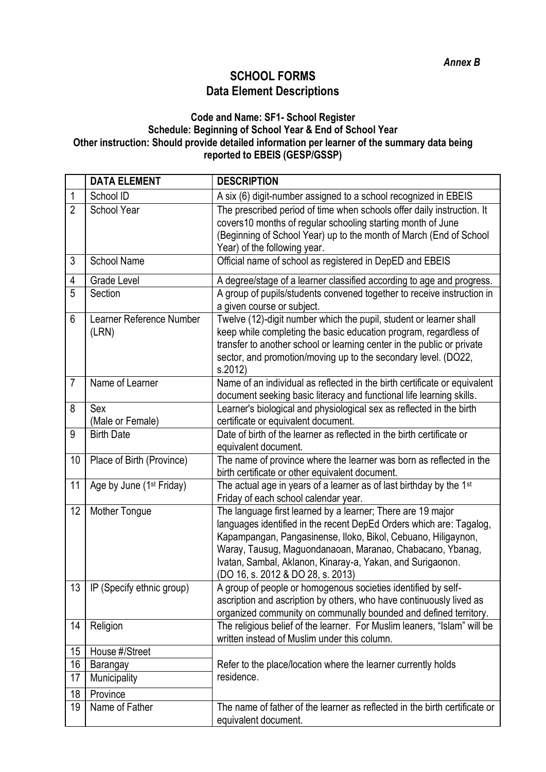#### **SCHOOL FORMS Data Element Descriptions**

#### **Code and Name: SF1- School Register Schedule: Beginning of School Year & End of School Year Other instruction: Should provide detailed information per learner of the summary data being reported to EBEIS (GESP/GSSP)**

|                 | <b>DATA ELEMENT</b>                  | <b>DESCRIPTION</b>                                                                                                                                                                                                                                                                                                                                                  |
|-----------------|--------------------------------------|---------------------------------------------------------------------------------------------------------------------------------------------------------------------------------------------------------------------------------------------------------------------------------------------------------------------------------------------------------------------|
| 1               | School ID                            | A six (6) digit-number assigned to a school recognized in EBEIS                                                                                                                                                                                                                                                                                                     |
| $\overline{2}$  | School Year                          | The prescribed period of time when schools offer daily instruction. It<br>covers10 months of regular schooling starting month of June<br>(Beginning of School Year) up to the month of March (End of School<br>Year) of the following year.                                                                                                                         |
| 3               | <b>School Name</b>                   | Official name of school as registered in DepED and EBEIS                                                                                                                                                                                                                                                                                                            |
| 4               | Grade Level                          | A degree/stage of a learner classified according to age and progress.                                                                                                                                                                                                                                                                                               |
| 5               | Section                              | A group of pupils/students convened together to receive instruction in<br>a given course or subject.                                                                                                                                                                                                                                                                |
| 6               | Learner Reference Number<br>(LRN)    | Twelve (12)-digit number which the pupil, student or learner shall<br>keep while completing the basic education program, regardless of<br>transfer to another school or learning center in the public or private<br>sector, and promotion/moving up to the secondary level. (DO22,<br>s.2012)                                                                       |
| $\overline{7}$  | Name of Learner                      | Name of an individual as reflected in the birth certificate or equivalent<br>document seeking basic literacy and functional life learning skills.                                                                                                                                                                                                                   |
| 8               | Sex<br>(Male or Female)              | Learner's biological and physiological sex as reflected in the birth<br>certificate or equivalent document.                                                                                                                                                                                                                                                         |
| 9               | <b>Birth Date</b>                    | Date of birth of the learner as reflected in the birth certificate or<br>equivalent document.                                                                                                                                                                                                                                                                       |
| 10              | Place of Birth (Province)            | The name of province where the learner was born as reflected in the<br>birth certificate or other equivalent document.                                                                                                                                                                                                                                              |
| 11              | Age by June (1 <sup>st</sup> Friday) | The actual age in years of a learner as of last birthday by the 1st<br>Friday of each school calendar year.                                                                                                                                                                                                                                                         |
| 12              | Mother Tongue                        | The language first learned by a learner; There are 19 major<br>languages identified in the recent DepEd Orders which are: Tagalog,<br>Kapampangan, Pangasinense, Iloko, Bikol, Cebuano, Hiligaynon,<br>Waray, Tausug, Maguondanaoan, Maranao, Chabacano, Ybanag,<br>Ivatan, Sambal, Aklanon, Kinaray-a, Yakan, and Surigaonon.<br>(DO 16, s. 2012 & DO 28, s. 2013) |
| 13 <sup>°</sup> | IP (Specify ethnic group)            | A group of people or homogenous societies identified by self-<br>ascription and ascription by others, who have continuously lived as<br>organized community on communally bounded and defined territory.                                                                                                                                                            |
| 14              | Religion                             | The religious belief of the learner. For Muslim leaners, "Islam" will be<br>written instead of Muslim under this column.                                                                                                                                                                                                                                            |
| 15              | House #/Street                       |                                                                                                                                                                                                                                                                                                                                                                     |
| 16              | Barangay                             | Refer to the place/location where the learner currently holds                                                                                                                                                                                                                                                                                                       |
| 17              | Municipality                         | residence.                                                                                                                                                                                                                                                                                                                                                          |
| 18              | Province                             |                                                                                                                                                                                                                                                                                                                                                                     |
| 19              | Name of Father                       | The name of father of the learner as reflected in the birth certificate or<br>equivalent document.                                                                                                                                                                                                                                                                  |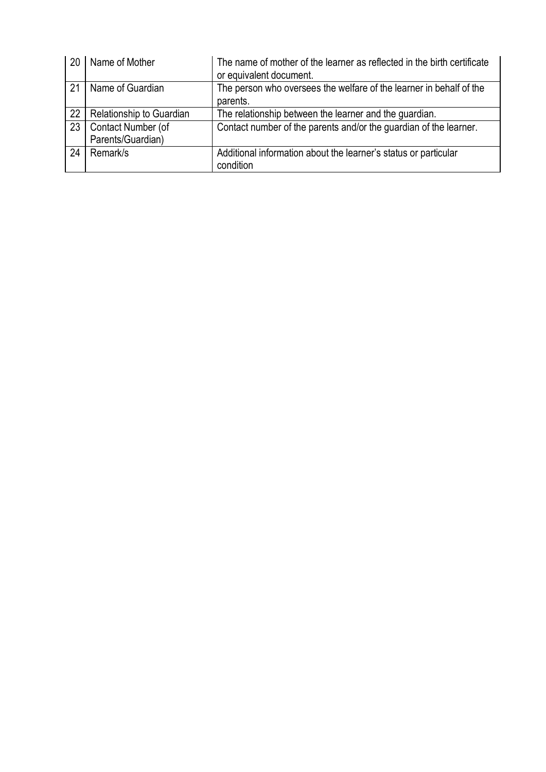| 20 | Name of Mother           | The name of mother of the learner as reflected in the birth certificate<br>or equivalent document. |
|----|--------------------------|----------------------------------------------------------------------------------------------------|
| 21 | Name of Guardian         | The person who oversees the welfare of the learner in behalf of the<br>parents.                    |
| 22 | Relationship to Guardian | The relationship between the learner and the guardian.                                             |
| 23 | Contact Number (of       | Contact number of the parents and/or the guardian of the learner.                                  |
|    | Parents/Guardian)        |                                                                                                    |
| 24 | Remark/s                 | Additional information about the learner's status or particular                                    |
|    |                          | condition                                                                                          |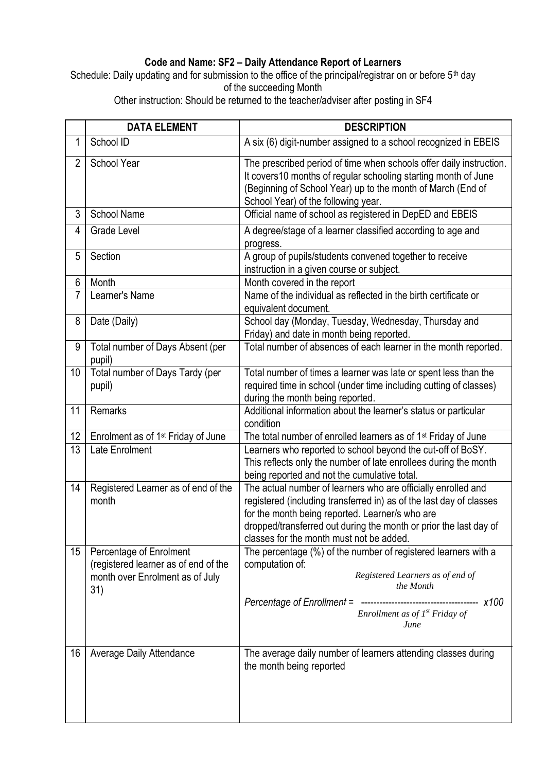### **Code and Name: SF2 – Daily Attendance Report of Learners**

Schedule: Daily updating and for submission to the office of the principal/registrar on or before 5<sup>th</sup> day of the succeeding Month

Other instruction: Should be returned to the teacher/adviser after posting in SF4

|                | <b>DATA ELEMENT</b>                                                                                       | <b>DESCRIPTION</b>                                                                                                                                                                                                                                                                                       |
|----------------|-----------------------------------------------------------------------------------------------------------|----------------------------------------------------------------------------------------------------------------------------------------------------------------------------------------------------------------------------------------------------------------------------------------------------------|
| 1              | School ID                                                                                                 | A six (6) digit-number assigned to a school recognized in EBEIS                                                                                                                                                                                                                                          |
| $\overline{2}$ | School Year                                                                                               | The prescribed period of time when schools offer daily instruction.<br>It covers 10 months of regular schooling starting month of June<br>(Beginning of School Year) up to the month of March (End of<br>School Year) of the following year.                                                             |
| 3              | <b>School Name</b>                                                                                        | Official name of school as registered in DepED and EBEIS                                                                                                                                                                                                                                                 |
| 4              | Grade Level                                                                                               | A degree/stage of a learner classified according to age and<br>progress.                                                                                                                                                                                                                                 |
| 5              | Section                                                                                                   | A group of pupils/students convened together to receive<br>instruction in a given course or subject.                                                                                                                                                                                                     |
| 6              | Month                                                                                                     | Month covered in the report                                                                                                                                                                                                                                                                              |
| 7              | Learner's Name                                                                                            | Name of the individual as reflected in the birth certificate or<br>equivalent document.                                                                                                                                                                                                                  |
| 8              | Date (Daily)                                                                                              | School day (Monday, Tuesday, Wednesday, Thursday and<br>Friday) and date in month being reported.                                                                                                                                                                                                        |
| 9              | Total number of Days Absent (per<br>pupil)                                                                | Total number of absences of each learner in the month reported.                                                                                                                                                                                                                                          |
| 10             | Total number of Days Tardy (per<br>pupil)                                                                 | Total number of times a learner was late or spent less than the<br>required time in school (under time including cutting of classes)<br>during the month being reported.                                                                                                                                 |
| 11             | Remarks                                                                                                   | Additional information about the learner's status or particular<br>condition                                                                                                                                                                                                                             |
| 12             | Enrolment as of 1 <sup>st</sup> Friday of June                                                            | The total number of enrolled learners as of 1 <sup>st</sup> Friday of June                                                                                                                                                                                                                               |
| 13             | Late Enrolment                                                                                            | Learners who reported to school beyond the cut-off of BoSY.<br>This reflects only the number of late enrollees during the month<br>being reported and not the cumulative total.                                                                                                                          |
| 14             | Registered Learner as of end of the<br>month                                                              | The actual number of learners who are officially enrolled and<br>registered (including transferred in) as of the last day of classes<br>for the month being reported. Learner/s who are<br>dropped/transferred out during the month or prior the last day of<br>classes for the month must not be added. |
| 15             | Percentage of Enrolment<br>(registered learner as of end of the<br>month over Enrolment as of July<br>31) | The percentage (%) of the number of registered learners with a<br>computation of:<br>Registered Learners as of end of<br>the Month<br>Enrollment as of $I^{st}$ Friday of<br>June                                                                                                                        |
| 16             | Average Daily Attendance                                                                                  | The average daily number of learners attending classes during<br>the month being reported                                                                                                                                                                                                                |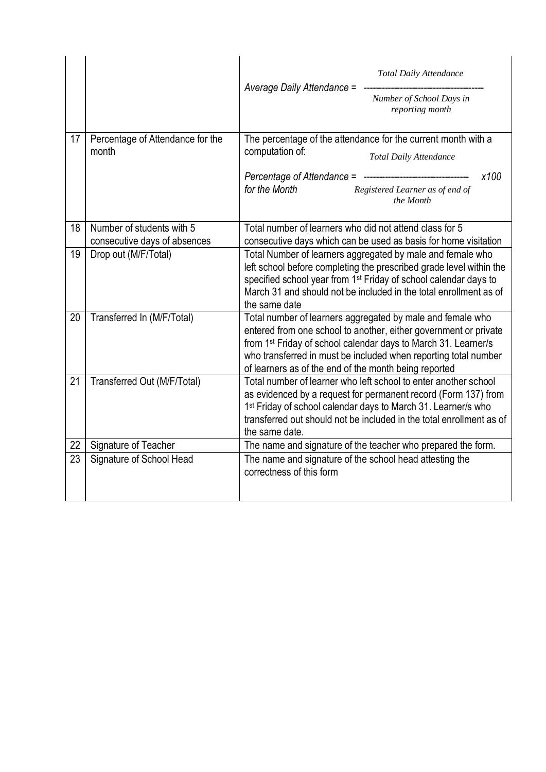|    |                                                           | <b>Total Daily Attendance</b><br>Average Daily Attendance =<br>Number of School Days in<br>reporting month                                                                                                                                                                                                                               |
|----|-----------------------------------------------------------|------------------------------------------------------------------------------------------------------------------------------------------------------------------------------------------------------------------------------------------------------------------------------------------------------------------------------------------|
| 17 | Percentage of Attendance for the<br>month                 | The percentage of the attendance for the current month with a<br>computation of:<br><b>Total Daily Attendance</b><br>x100<br>for the Month<br>Registered Learner as of end of<br>the Month                                                                                                                                               |
| 18 | Number of students with 5<br>consecutive days of absences | Total number of learners who did not attend class for 5<br>consecutive days which can be used as basis for home visitation                                                                                                                                                                                                               |
| 19 | Drop out (M/F/Total)                                      | Total Number of learners aggregated by male and female who<br>left school before completing the prescribed grade level within the<br>specified school year from 1 <sup>st</sup> Friday of school calendar days to<br>March 31 and should not be included in the total enrollment as of<br>the same date                                  |
| 20 | Transferred In (M/F/Total)                                | Total number of learners aggregated by male and female who<br>entered from one school to another, either government or private<br>from 1 <sup>st</sup> Friday of school calendar days to March 31. Learner/s<br>who transferred in must be included when reporting total number<br>of learners as of the end of the month being reported |
| 21 | Transferred Out (M/F/Total)                               | Total number of learner who left school to enter another school<br>as evidenced by a request for permanent record (Form 137) from<br>1 <sup>st</sup> Friday of school calendar days to March 31. Learner/s who<br>transferred out should not be included in the total enrollment as of<br>the same date.                                 |
| 22 | Signature of Teacher                                      | The name and signature of the teacher who prepared the form.                                                                                                                                                                                                                                                                             |
| 23 | Signature of School Head                                  | The name and signature of the school head attesting the<br>correctness of this form                                                                                                                                                                                                                                                      |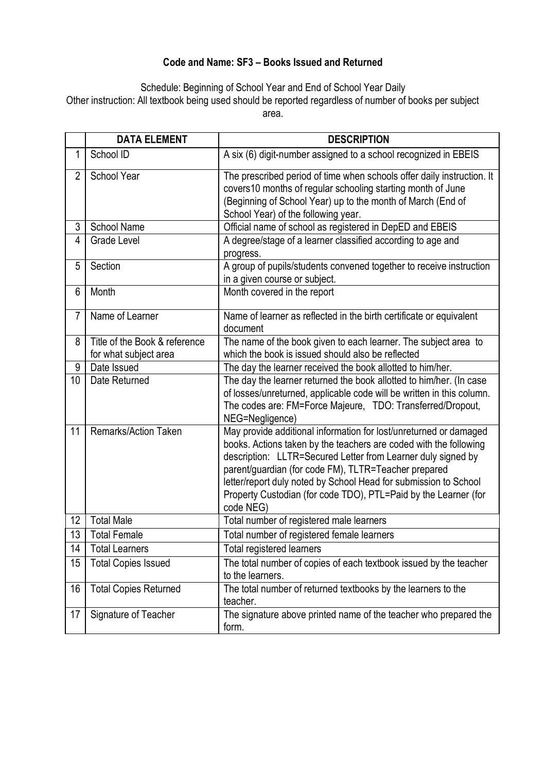### **Code and Name: SF3 – Books Issued and Returned**

Schedule: Beginning of School Year and End of School Year Daily Other instruction: All textbook being used should be reported regardless of number of books per subject area.

|                | <b>DATA ELEMENT</b>           | <b>DESCRIPTION</b>                                                                                                                                                                                                                                                                                                                                                                                                 |
|----------------|-------------------------------|--------------------------------------------------------------------------------------------------------------------------------------------------------------------------------------------------------------------------------------------------------------------------------------------------------------------------------------------------------------------------------------------------------------------|
| 1              | School ID                     | A six (6) digit-number assigned to a school recognized in EBEIS                                                                                                                                                                                                                                                                                                                                                    |
| $\overline{2}$ | School Year                   | The prescribed period of time when schools offer daily instruction. It<br>covers10 months of regular schooling starting month of June<br>(Beginning of School Year) up to the month of March (End of<br>School Year) of the following year.                                                                                                                                                                        |
| 3              | <b>School Name</b>            | Official name of school as registered in DepED and EBEIS                                                                                                                                                                                                                                                                                                                                                           |
| 4              | Grade Level                   | A degree/stage of a learner classified according to age and<br>progress.                                                                                                                                                                                                                                                                                                                                           |
| 5              | Section                       | A group of pupils/students convened together to receive instruction<br>in a given course or subject.                                                                                                                                                                                                                                                                                                               |
| 6              | Month                         | Month covered in the report                                                                                                                                                                                                                                                                                                                                                                                        |
| $\overline{7}$ | Name of Learner               | Name of learner as reflected in the birth certificate or equivalent<br>document                                                                                                                                                                                                                                                                                                                                    |
| 8              | Title of the Book & reference | The name of the book given to each learner. The subject area to                                                                                                                                                                                                                                                                                                                                                    |
|                | for what subject area         | which the book is issued should also be reflected                                                                                                                                                                                                                                                                                                                                                                  |
| 9              | Date Issued                   | The day the learner received the book allotted to him/her.                                                                                                                                                                                                                                                                                                                                                         |
| 10             | Date Returned                 | The day the learner returned the book allotted to him/her. (In case<br>of losses/unreturned, applicable code will be written in this column.<br>The codes are: FM=Force Majeure, TDO: Transferred/Dropout,<br>NEG=Negligence)                                                                                                                                                                                      |
| 11             | <b>Remarks/Action Taken</b>   | May provide additional information for lost/unreturned or damaged<br>books. Actions taken by the teachers are coded with the following<br>description: LLTR=Secured Letter from Learner duly signed by<br>parent/guardian (for code FM), TLTR=Teacher prepared<br>letter/report duly noted by School Head for submission to School<br>Property Custodian (for code TDO), PTL=Paid by the Learner (for<br>code NEG) |
| 12             | <b>Total Male</b>             | Total number of registered male learners                                                                                                                                                                                                                                                                                                                                                                           |
| 13             | <b>Total Female</b>           | Total number of registered female learners                                                                                                                                                                                                                                                                                                                                                                         |
| 14             | <b>Total Learners</b>         | Total registered learners                                                                                                                                                                                                                                                                                                                                                                                          |
| 15             | <b>Total Copies Issued</b>    | The total number of copies of each textbook issued by the teacher<br>to the learners.                                                                                                                                                                                                                                                                                                                              |
| 16             | <b>Total Copies Returned</b>  | The total number of returned textbooks by the learners to the<br>teacher.                                                                                                                                                                                                                                                                                                                                          |
| 17             | Signature of Teacher          | The signature above printed name of the teacher who prepared the<br>form.                                                                                                                                                                                                                                                                                                                                          |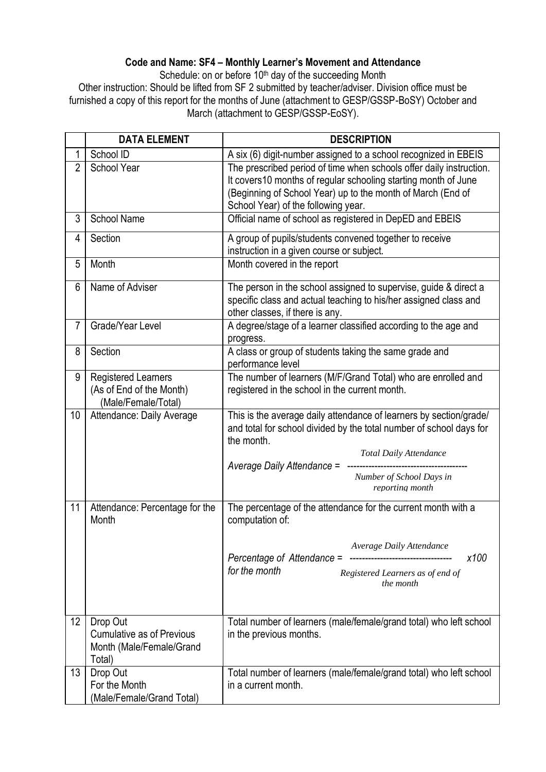### **Code and Name: SF4 – Monthly Learner's Movement and Attendance**

Schedule: on or before 10<sup>th</sup> day of the succeeding Month

Other instruction: Should be lifted from SF 2 submitted by teacher/adviser. Division office must be furnished a copy of this report for the months of June (attachment to GESP/GSSP-BoSY) October and March (attachment to GESP/GSSP-EoSY).

|                | <b>DATA ELEMENT</b>                                                                | <b>DESCRIPTION</b>                                                                                                                                                                                                                                                    |
|----------------|------------------------------------------------------------------------------------|-----------------------------------------------------------------------------------------------------------------------------------------------------------------------------------------------------------------------------------------------------------------------|
| 1              | School ID                                                                          | A six (6) digit-number assigned to a school recognized in EBEIS                                                                                                                                                                                                       |
| $\overline{2}$ | School Year                                                                        | The prescribed period of time when schools offer daily instruction.<br>It covers10 months of regular schooling starting month of June<br>(Beginning of School Year) up to the month of March (End of<br>School Year) of the following year.                           |
| 3              | <b>School Name</b>                                                                 | Official name of school as registered in DepED and EBEIS                                                                                                                                                                                                              |
| 4              | Section                                                                            | A group of pupils/students convened together to receive<br>instruction in a given course or subject.                                                                                                                                                                  |
| 5              | Month                                                                              | Month covered in the report                                                                                                                                                                                                                                           |
| 6              | Name of Adviser                                                                    | The person in the school assigned to supervise, guide & direct a<br>specific class and actual teaching to his/her assigned class and<br>other classes, if there is any.                                                                                               |
| $\overline{7}$ | Grade/Year Level                                                                   | A degree/stage of a learner classified according to the age and<br>progress.                                                                                                                                                                                          |
| 8              | Section                                                                            | A class or group of students taking the same grade and<br>performance level                                                                                                                                                                                           |
| 9              | <b>Registered Learners</b><br>(As of End of the Month)<br>(Male/Female/Total)      | The number of learners (M/F/Grand Total) who are enrolled and<br>registered in the school in the current month.                                                                                                                                                       |
| 10             | Attendance: Daily Average                                                          | This is the average daily attendance of learners by section/grade/<br>and total for school divided by the total number of school days for<br>the month.<br><b>Total Daily Attendance</b><br>Average Daily Attendance =<br>Number of School Days in<br>reporting month |
| 11             | Attendance: Percentage for the<br>Month                                            | The percentage of the attendance for the current month with a<br>computation of:<br>Average Daily Attendance<br>x100<br>Percentage of Attendance =<br>------------------------<br>for the month<br>Registered Learners as of end of<br>the month                      |
| 12             | Drop Out<br><b>Cumulative as of Previous</b><br>Month (Male/Female/Grand<br>Total) | Total number of learners (male/female/grand total) who left school<br>in the previous months.                                                                                                                                                                         |
| 13             | Drop Out<br>For the Month<br>(Male/Female/Grand Total)                             | Total number of learners (male/female/grand total) who left school<br>in a current month.                                                                                                                                                                             |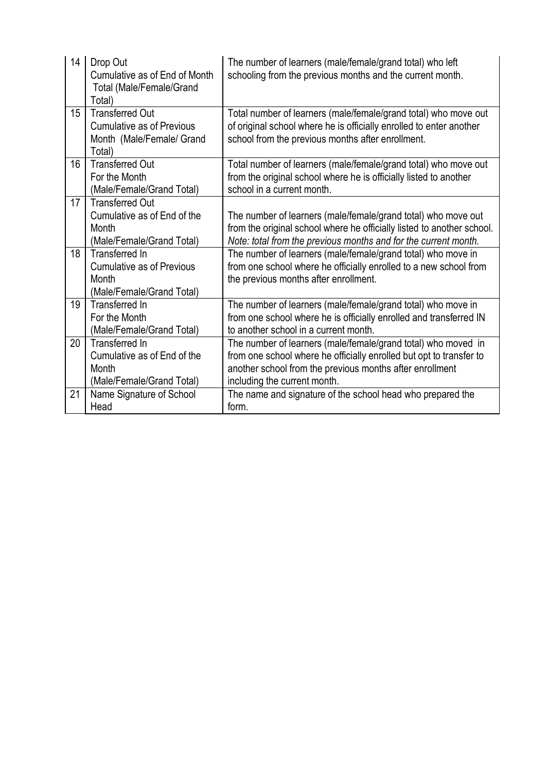| 14 | Drop Out<br>Cumulative as of End of Month<br><b>Total (Male/Female/Grand</b><br>Total)            | The number of learners (male/female/grand total) who left<br>schooling from the previous months and the current month.                                                                                                           |
|----|---------------------------------------------------------------------------------------------------|----------------------------------------------------------------------------------------------------------------------------------------------------------------------------------------------------------------------------------|
| 15 | <b>Transferred Out</b><br><b>Cumulative as of Previous</b><br>Month (Male/Female/ Grand<br>Total) | Total number of learners (male/female/grand total) who move out<br>of original school where he is officially enrolled to enter another<br>school from the previous months after enrollment.                                      |
| 16 | <b>Transferred Out</b><br>For the Month<br>(Male/Female/Grand Total)                              | Total number of learners (male/female/grand total) who move out<br>from the original school where he is officially listed to another<br>school in a current month.                                                               |
| 17 | <b>Transferred Out</b><br>Cumulative as of End of the<br>Month<br>(Male/Female/Grand Total)       | The number of learners (male/female/grand total) who move out<br>from the original school where he officially listed to another school.<br>Note: total from the previous months and for the current month.                       |
| 18 | Transferred In<br><b>Cumulative as of Previous</b><br>Month<br>(Male/Female/Grand Total)          | The number of learners (male/female/grand total) who move in<br>from one school where he officially enrolled to a new school from<br>the previous months after enrollment.                                                       |
| 19 | Transferred In<br>For the Month<br>(Male/Female/Grand Total)                                      | The number of learners (male/female/grand total) who move in<br>from one school where he is officially enrolled and transferred IN<br>to another school in a current month.                                                      |
| 20 | <b>Transferred In</b><br>Cumulative as of End of the<br>Month<br>(Male/Female/Grand Total)        | The number of learners (male/female/grand total) who moved in<br>from one school where he officially enrolled but opt to transfer to<br>another school from the previous months after enrollment<br>including the current month. |
| 21 | Name Signature of School<br>Head                                                                  | The name and signature of the school head who prepared the<br>form.                                                                                                                                                              |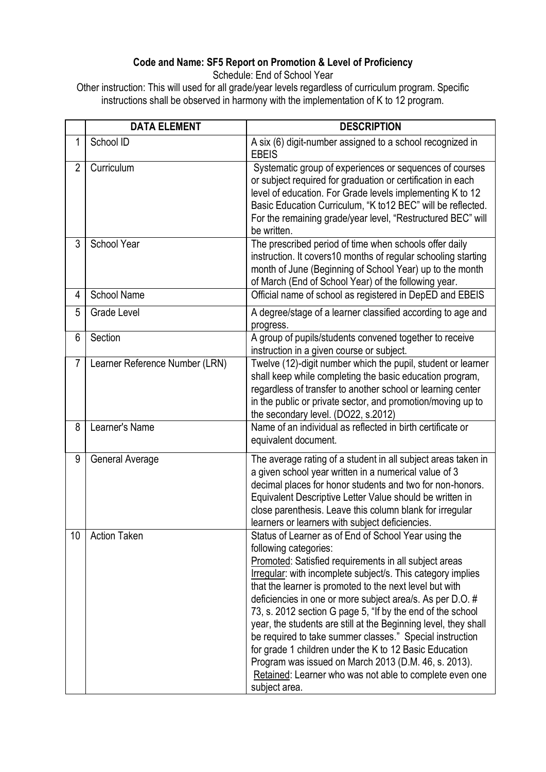### **Code and Name: SF5 Report on Promotion & Level of Proficiency**

Schedule: End of School Year

Other instruction: This will used for all grade/year levels regardless of curriculum program. Specific instructions shall be observed in harmony with the implementation of K to 12 program.

|                | <b>DATA ELEMENT</b>            | <b>DESCRIPTION</b>                                                                                                                                                                                                                                                                                                                                                                                                                                                                                                                                                                                                                                                                                                       |
|----------------|--------------------------------|--------------------------------------------------------------------------------------------------------------------------------------------------------------------------------------------------------------------------------------------------------------------------------------------------------------------------------------------------------------------------------------------------------------------------------------------------------------------------------------------------------------------------------------------------------------------------------------------------------------------------------------------------------------------------------------------------------------------------|
| 1              | School ID                      | A six (6) digit-number assigned to a school recognized in<br><b>EBEIS</b>                                                                                                                                                                                                                                                                                                                                                                                                                                                                                                                                                                                                                                                |
| $\overline{2}$ | Curriculum                     | Systematic group of experiences or sequences of courses<br>or subject required for graduation or certification in each<br>level of education. For Grade levels implementing K to 12<br>Basic Education Curriculum, "K to12 BEC" will be reflected.<br>For the remaining grade/year level, "Restructured BEC" will<br>be written.                                                                                                                                                                                                                                                                                                                                                                                         |
| 3              | School Year                    | The prescribed period of time when schools offer daily<br>instruction. It covers10 months of regular schooling starting<br>month of June (Beginning of School Year) up to the month<br>of March (End of School Year) of the following year.                                                                                                                                                                                                                                                                                                                                                                                                                                                                              |
| 4              | <b>School Name</b>             | Official name of school as registered in DepED and EBEIS                                                                                                                                                                                                                                                                                                                                                                                                                                                                                                                                                                                                                                                                 |
| 5              | <b>Grade Level</b>             | A degree/stage of a learner classified according to age and<br>progress.                                                                                                                                                                                                                                                                                                                                                                                                                                                                                                                                                                                                                                                 |
| 6              | Section                        | A group of pupils/students convened together to receive<br>instruction in a given course or subject.                                                                                                                                                                                                                                                                                                                                                                                                                                                                                                                                                                                                                     |
| $\overline{7}$ | Learner Reference Number (LRN) | Twelve (12)-digit number which the pupil, student or learner<br>shall keep while completing the basic education program,<br>regardless of transfer to another school or learning center<br>in the public or private sector, and promotion/moving up to<br>the secondary level. (DO22, s.2012)                                                                                                                                                                                                                                                                                                                                                                                                                            |
| 8              | Learner's Name                 | Name of an individual as reflected in birth certificate or<br>equivalent document.                                                                                                                                                                                                                                                                                                                                                                                                                                                                                                                                                                                                                                       |
| 9              | General Average                | The average rating of a student in all subject areas taken in<br>a given school year written in a numerical value of 3<br>decimal places for honor students and two for non-honors.<br>Equivalent Descriptive Letter Value should be written in<br>close parenthesis. Leave this column blank for irregular<br>learners or learners with subject deficiencies.                                                                                                                                                                                                                                                                                                                                                           |
| 10             | <b>Action Taken</b>            | Status of Learner as of End of School Year using the<br>following categories:<br>Promoted: Satisfied requirements in all subject areas<br>Irregular: with incomplete subject/s. This category implies<br>that the learner is promoted to the next level but with<br>deficiencies in one or more subject area/s. As per D.O. #<br>73, s. 2012 section G page 5, "If by the end of the school<br>year, the students are still at the Beginning level, they shall<br>be required to take summer classes." Special instruction<br>for grade 1 children under the K to 12 Basic Education<br>Program was issued on March 2013 (D.M. 46, s. 2013).<br>Retained: Learner who was not able to complete even one<br>subject area. |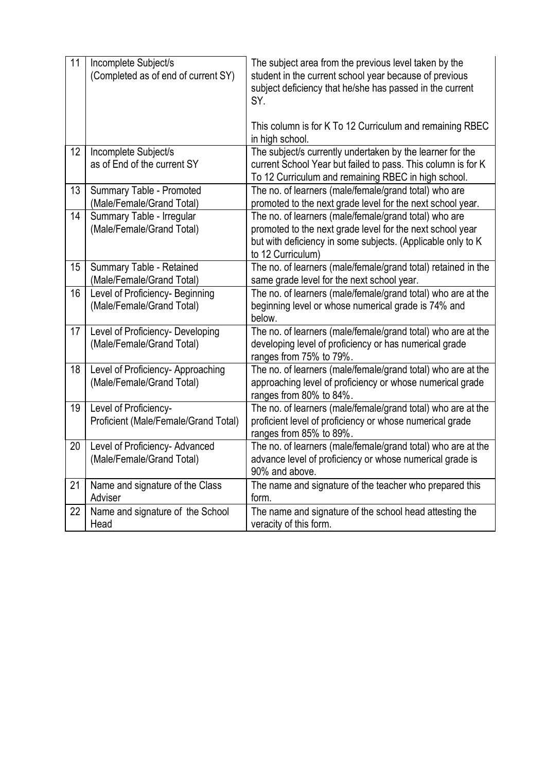| 11 | Incomplete Subject/s<br>(Completed as of end of current SY)    | The subject area from the previous level taken by the<br>student in the current school year because of previous<br>subject deficiency that he/she has passed in the current<br>SY.<br>This column is for K To 12 Curriculum and remaining RBEC |
|----|----------------------------------------------------------------|------------------------------------------------------------------------------------------------------------------------------------------------------------------------------------------------------------------------------------------------|
|    |                                                                | in high school.                                                                                                                                                                                                                                |
| 12 | Incomplete Subject/s<br>as of End of the current SY            | The subject/s currently undertaken by the learner for the<br>current School Year but failed to pass. This column is for K<br>To 12 Curriculum and remaining RBEC in high school.                                                               |
| 13 | Summary Table - Promoted                                       | The no. of learners (male/female/grand total) who are                                                                                                                                                                                          |
|    | (Male/Female/Grand Total)                                      | promoted to the next grade level for the next school year.                                                                                                                                                                                     |
| 14 | Summary Table - Irregular<br>(Male/Female/Grand Total)         | The no. of learners (male/female/grand total) who are<br>promoted to the next grade level for the next school year<br>but with deficiency in some subjects. (Applicable only to K<br>to 12 Curriculum)                                         |
| 15 | Summary Table - Retained<br>(Male/Female/Grand Total)          | The no. of learners (male/female/grand total) retained in the<br>same grade level for the next school year.                                                                                                                                    |
| 16 | Level of Proficiency- Beginning<br>(Male/Female/Grand Total)   | The no. of learners (male/female/grand total) who are at the<br>beginning level or whose numerical grade is 74% and<br>below.                                                                                                                  |
| 17 | Level of Proficiency- Developing<br>(Male/Female/Grand Total)  | The no. of learners (male/female/grand total) who are at the<br>developing level of proficiency or has numerical grade<br>ranges from 75% to 79%.                                                                                              |
| 18 | Level of Proficiency- Approaching<br>(Male/Female/Grand Total) | The no. of learners (male/female/grand total) who are at the<br>approaching level of proficiency or whose numerical grade<br>ranges from 80% to 84%.                                                                                           |
| 19 | Level of Proficiency-<br>Proficient (Male/Female/Grand Total)  | The no. of learners (male/female/grand total) who are at the<br>proficient level of proficiency or whose numerical grade<br>ranges from 85% to 89%.                                                                                            |
| 20 | Level of Proficiency- Advanced<br>(Male/Female/Grand Total)    | The no. of learners (male/female/grand total) who are at the<br>advance level of proficiency or whose numerical grade is<br>90% and above.                                                                                                     |
| 21 | Name and signature of the Class<br>Adviser                     | The name and signature of the teacher who prepared this<br>form.                                                                                                                                                                               |
| 22 | Name and signature of the School<br>Head                       | The name and signature of the school head attesting the<br>veracity of this form.                                                                                                                                                              |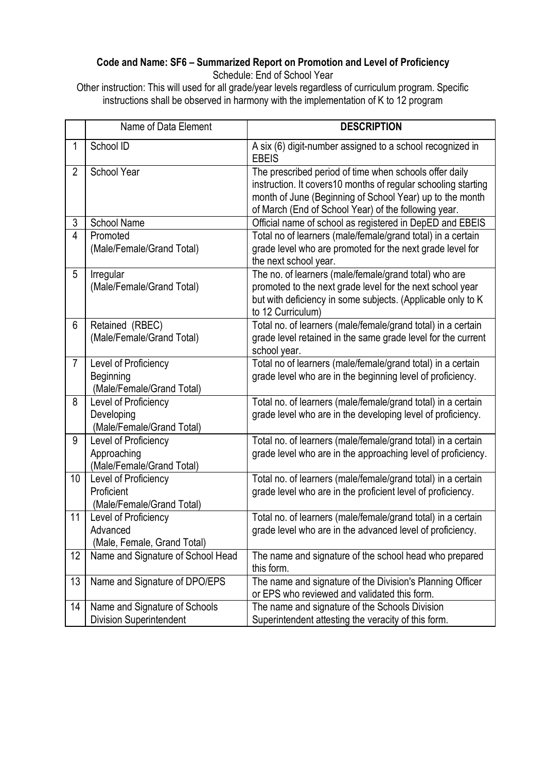#### **Code and Name: SF6 – Summarized Report on Promotion and Level of Proficiency** Schedule: End of School Year

Other instruction: This will used for all grade/year levels regardless of curriculum program. Specific instructions shall be observed in harmony with the implementation of K to 12 program

|                | Name of Data Element                                             | <b>DESCRIPTION</b>                                                                                                                                                                                                                          |
|----------------|------------------------------------------------------------------|---------------------------------------------------------------------------------------------------------------------------------------------------------------------------------------------------------------------------------------------|
| $\mathbf 1$    | School ID                                                        | A six (6) digit-number assigned to a school recognized in<br><b>EBEIS</b>                                                                                                                                                                   |
| $\overline{2}$ | School Year                                                      | The prescribed period of time when schools offer daily<br>instruction. It covers10 months of regular schooling starting<br>month of June (Beginning of School Year) up to the month<br>of March (End of School Year) of the following year. |
| 3              | <b>School Name</b>                                               | Official name of school as registered in DepED and EBEIS                                                                                                                                                                                    |
| $\overline{4}$ | Promoted<br>(Male/Female/Grand Total)                            | Total no of learners (male/female/grand total) in a certain<br>grade level who are promoted for the next grade level for<br>the next school year.                                                                                           |
| 5              | Irregular<br>(Male/Female/Grand Total)                           | The no. of learners (male/female/grand total) who are<br>promoted to the next grade level for the next school year<br>but with deficiency in some subjects. (Applicable only to K<br>to 12 Curriculum)                                      |
| 6              | Retained (RBEC)<br>(Male/Female/Grand Total)                     | Total no. of learners (male/female/grand total) in a certain<br>grade level retained in the same grade level for the current<br>school year.                                                                                                |
| $\overline{7}$ | Level of Proficiency<br>Beginning<br>(Male/Female/Grand Total)   | Total no of learners (male/female/grand total) in a certain<br>grade level who are in the beginning level of proficiency.                                                                                                                   |
| 8              | Level of Proficiency<br>Developing<br>(Male/Female/Grand Total)  | Total no. of learners (male/female/grand total) in a certain<br>grade level who are in the developing level of proficiency.                                                                                                                 |
| 9              | Level of Proficiency<br>Approaching<br>(Male/Female/Grand Total) | Total no. of learners (male/female/grand total) in a certain<br>grade level who are in the approaching level of proficiency.                                                                                                                |
| 10             | Level of Proficiency<br>Proficient<br>(Male/Female/Grand Total)  | Total no. of learners (male/female/grand total) in a certain<br>grade level who are in the proficient level of proficiency.                                                                                                                 |
| 11             | Level of Proficiency<br>Advanced<br>(Male, Female, Grand Total)  | Total no. of learners (male/female/grand total) in a certain<br>grade level who are in the advanced level of proficiency.                                                                                                                   |
| 12             | Name and Signature of School Head                                | The name and signature of the school head who prepared<br>this form.                                                                                                                                                                        |
| 13             | Name and Signature of DPO/EPS                                    | The name and signature of the Division's Planning Officer<br>or EPS who reviewed and validated this form.                                                                                                                                   |
| 14             | Name and Signature of Schools<br><b>Division Superintendent</b>  | The name and signature of the Schools Division<br>Superintendent attesting the veracity of this form.                                                                                                                                       |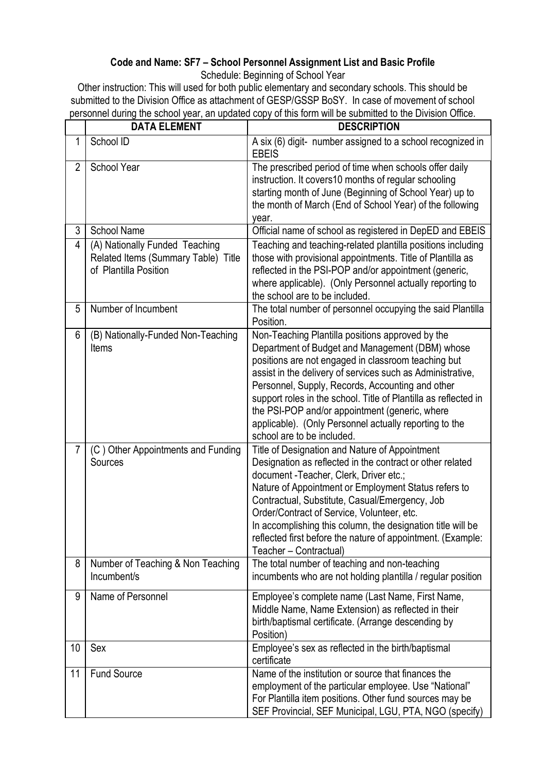# **Code and Name: SF7 – School Personnel Assignment List and Basic Profile**

Schedule: Beginning of School Year

Other instruction: This will used for both public elementary and secondary schools. This should be submitted to the Division Office as attachment of GESP/GSSP BoSY. In case of movement of school personnel during the school year, an updated copy of this form will be submitted to the Division Office.

|                | <b>DATA ELEMENT</b>                                                                            | <b>DESCRIPTION</b>                                                                                                                                                                                                                                                                                                                                                                                                                                                                        |
|----------------|------------------------------------------------------------------------------------------------|-------------------------------------------------------------------------------------------------------------------------------------------------------------------------------------------------------------------------------------------------------------------------------------------------------------------------------------------------------------------------------------------------------------------------------------------------------------------------------------------|
| 1              | School ID                                                                                      | A six (6) digit- number assigned to a school recognized in<br><b>EBEIS</b>                                                                                                                                                                                                                                                                                                                                                                                                                |
| $\overline{2}$ | School Year                                                                                    | The prescribed period of time when schools offer daily<br>instruction. It covers10 months of regular schooling<br>starting month of June (Beginning of School Year) up to<br>the month of March (End of School Year) of the following<br>year.                                                                                                                                                                                                                                            |
| 3              | <b>School Name</b>                                                                             | Official name of school as registered in DepED and EBEIS                                                                                                                                                                                                                                                                                                                                                                                                                                  |
| 4              | (A) Nationally Funded Teaching<br>Related Items (Summary Table) Title<br>of Plantilla Position | Teaching and teaching-related plantilla positions including<br>those with provisional appointments. Title of Plantilla as<br>reflected in the PSI-POP and/or appointment (generic,<br>where applicable). (Only Personnel actually reporting to<br>the school are to be included.                                                                                                                                                                                                          |
| 5              | Number of Incumbent                                                                            | The total number of personnel occupying the said Plantilla<br>Position.                                                                                                                                                                                                                                                                                                                                                                                                                   |
| 6              | (B) Nationally-Funded Non-Teaching<br>Items                                                    | Non-Teaching Plantilla positions approved by the<br>Department of Budget and Management (DBM) whose<br>positions are not engaged in classroom teaching but<br>assist in the delivery of services such as Administrative,<br>Personnel, Supply, Records, Accounting and other<br>support roles in the school. Title of Plantilla as reflected in<br>the PSI-POP and/or appointment (generic, where<br>applicable). (Only Personnel actually reporting to the<br>school are to be included. |
| $\overline{7}$ | (C) Other Appointments and Funding<br>Sources                                                  | Title of Designation and Nature of Appointment<br>Designation as reflected in the contract or other related<br>document - Teacher, Clerk, Driver etc.;<br>Nature of Appointment or Employment Status refers to<br>Contractual, Substitute, Casual/Emergency, Job<br>Order/Contract of Service, Volunteer, etc.<br>In accomplishing this column, the designation title will be<br>reflected first before the nature of appointment. (Example:<br>Teacher - Contractual)                    |
| 8              | Number of Teaching & Non Teaching<br>Incumbent/s                                               | The total number of teaching and non-teaching<br>incumbents who are not holding plantilla / regular position                                                                                                                                                                                                                                                                                                                                                                              |
| 9              | Name of Personnel                                                                              | Employee's complete name (Last Name, First Name,<br>Middle Name, Name Extension) as reflected in their<br>birth/baptismal certificate. (Arrange descending by<br>Position)                                                                                                                                                                                                                                                                                                                |
| 10             | Sex                                                                                            | Employee's sex as reflected in the birth/baptismal<br>certificate                                                                                                                                                                                                                                                                                                                                                                                                                         |
| 11             | <b>Fund Source</b>                                                                             | Name of the institution or source that finances the<br>employment of the particular employee. Use "National"<br>For Plantilla item positions. Other fund sources may be<br>SEF Provincial, SEF Municipal, LGU, PTA, NGO (specify)                                                                                                                                                                                                                                                         |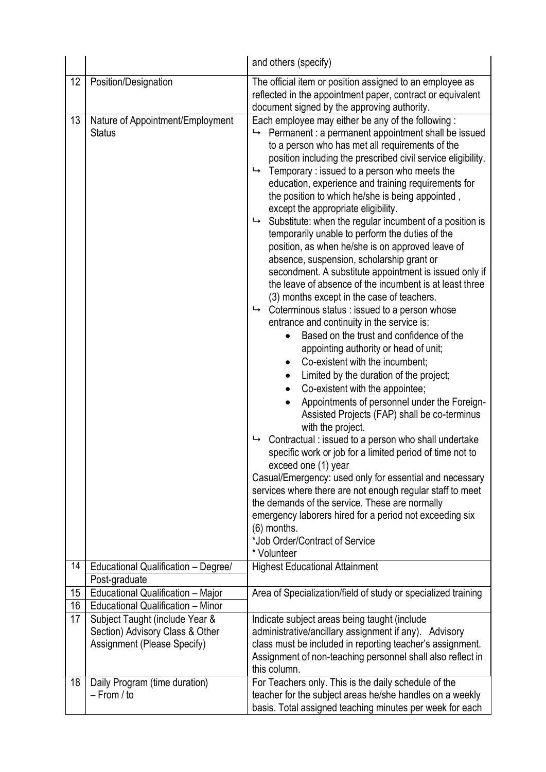|                      |                                                                                                                                                                                     | and others (specify)                                                                                                                                                                                                                                                                                                                                                                                                                                                                                                                                                                                                                                                                                                                                                                                                                                                                                                                                                                                                                                                                                                                                                                                                                                                                                                                                                                                                                                                                                                                                                                                                                                                                                                                                                                                                                                               |
|----------------------|-------------------------------------------------------------------------------------------------------------------------------------------------------------------------------------|--------------------------------------------------------------------------------------------------------------------------------------------------------------------------------------------------------------------------------------------------------------------------------------------------------------------------------------------------------------------------------------------------------------------------------------------------------------------------------------------------------------------------------------------------------------------------------------------------------------------------------------------------------------------------------------------------------------------------------------------------------------------------------------------------------------------------------------------------------------------------------------------------------------------------------------------------------------------------------------------------------------------------------------------------------------------------------------------------------------------------------------------------------------------------------------------------------------------------------------------------------------------------------------------------------------------------------------------------------------------------------------------------------------------------------------------------------------------------------------------------------------------------------------------------------------------------------------------------------------------------------------------------------------------------------------------------------------------------------------------------------------------------------------------------------------------------------------------------------------------|
| 12                   | Position/Designation                                                                                                                                                                | The official item or position assigned to an employee as<br>reflected in the appointment paper, contract or equivalent<br>document signed by the approving authority.                                                                                                                                                                                                                                                                                                                                                                                                                                                                                                                                                                                                                                                                                                                                                                                                                                                                                                                                                                                                                                                                                                                                                                                                                                                                                                                                                                                                                                                                                                                                                                                                                                                                                              |
| 13<br>14<br>15<br>16 | Nature of Appointment/Employment<br><b>Status</b><br>Educational Qualification - Degree/<br>Post-graduate<br>Educational Qualification - Major<br>Educational Qualification - Minor | Each employee may either be any of the following:<br>Permanent : a permanent appointment shall be issued<br>↳<br>to a person who has met all requirements of the<br>position including the prescribed civil service eligibility.<br>Temporary: issued to a person who meets the<br>↳<br>education, experience and training requirements for<br>the position to which he/she is being appointed,<br>except the appropriate eligibility.<br>Substitute: when the regular incumbent of a position is<br>↳<br>temporarily unable to perform the duties of the<br>position, as when he/she is on approved leave of<br>absence, suspension, scholarship grant or<br>secondment. A substitute appointment is issued only if<br>the leave of absence of the incumbent is at least three<br>(3) months except in the case of teachers.<br>Coterminous status : issued to a person whose<br>↳<br>entrance and continuity in the service is:<br>Based on the trust and confidence of the<br>appointing authority or head of unit;<br>Co-existent with the incumbent;<br>$\bullet$<br>Limited by the duration of the project;<br>$\bullet$<br>Co-existent with the appointee;<br>$\bullet$<br>Appointments of personnel under the Foreign-<br>Assisted Projects (FAP) shall be co-terminus<br>with the project.<br>Contractual : issued to a person who shall undertake<br>↳<br>specific work or job for a limited period of time not to<br>exceed one (1) year<br>Casual/Emergency: used only for essential and necessary<br>services where there are not enough regular staff to meet<br>the demands of the service. These are normally<br>emergency laborers hired for a period not exceeding six<br>(6) months.<br>*Job Order/Contract of Service<br>* Volunteer<br><b>Highest Educational Attainment</b><br>Area of Specialization/field of study or specialized training |
| 17                   | Subject Taught (include Year &                                                                                                                                                      | Indicate subject areas being taught (include                                                                                                                                                                                                                                                                                                                                                                                                                                                                                                                                                                                                                                                                                                                                                                                                                                                                                                                                                                                                                                                                                                                                                                                                                                                                                                                                                                                                                                                                                                                                                                                                                                                                                                                                                                                                                       |
|                      | Section) Advisory Class & Other                                                                                                                                                     | administrative/ancillary assignment if any). Advisory                                                                                                                                                                                                                                                                                                                                                                                                                                                                                                                                                                                                                                                                                                                                                                                                                                                                                                                                                                                                                                                                                                                                                                                                                                                                                                                                                                                                                                                                                                                                                                                                                                                                                                                                                                                                              |
|                      | Assignment (Please Specify)                                                                                                                                                         | class must be included in reporting teacher's assignment.                                                                                                                                                                                                                                                                                                                                                                                                                                                                                                                                                                                                                                                                                                                                                                                                                                                                                                                                                                                                                                                                                                                                                                                                                                                                                                                                                                                                                                                                                                                                                                                                                                                                                                                                                                                                          |
|                      |                                                                                                                                                                                     | Assignment of non-teaching personnel shall also reflect in<br>this column.                                                                                                                                                                                                                                                                                                                                                                                                                                                                                                                                                                                                                                                                                                                                                                                                                                                                                                                                                                                                                                                                                                                                                                                                                                                                                                                                                                                                                                                                                                                                                                                                                                                                                                                                                                                         |
| 18                   | Daily Program (time duration)                                                                                                                                                       | For Teachers only. This is the daily schedule of the                                                                                                                                                                                                                                                                                                                                                                                                                                                                                                                                                                                                                                                                                                                                                                                                                                                                                                                                                                                                                                                                                                                                                                                                                                                                                                                                                                                                                                                                                                                                                                                                                                                                                                                                                                                                               |
|                      | $-$ From / to                                                                                                                                                                       | teacher for the subject areas he/she handles on a weekly                                                                                                                                                                                                                                                                                                                                                                                                                                                                                                                                                                                                                                                                                                                                                                                                                                                                                                                                                                                                                                                                                                                                                                                                                                                                                                                                                                                                                                                                                                                                                                                                                                                                                                                                                                                                           |
|                      |                                                                                                                                                                                     | basis. Total assigned teaching minutes per week for each                                                                                                                                                                                                                                                                                                                                                                                                                                                                                                                                                                                                                                                                                                                                                                                                                                                                                                                                                                                                                                                                                                                                                                                                                                                                                                                                                                                                                                                                                                                                                                                                                                                                                                                                                                                                           |